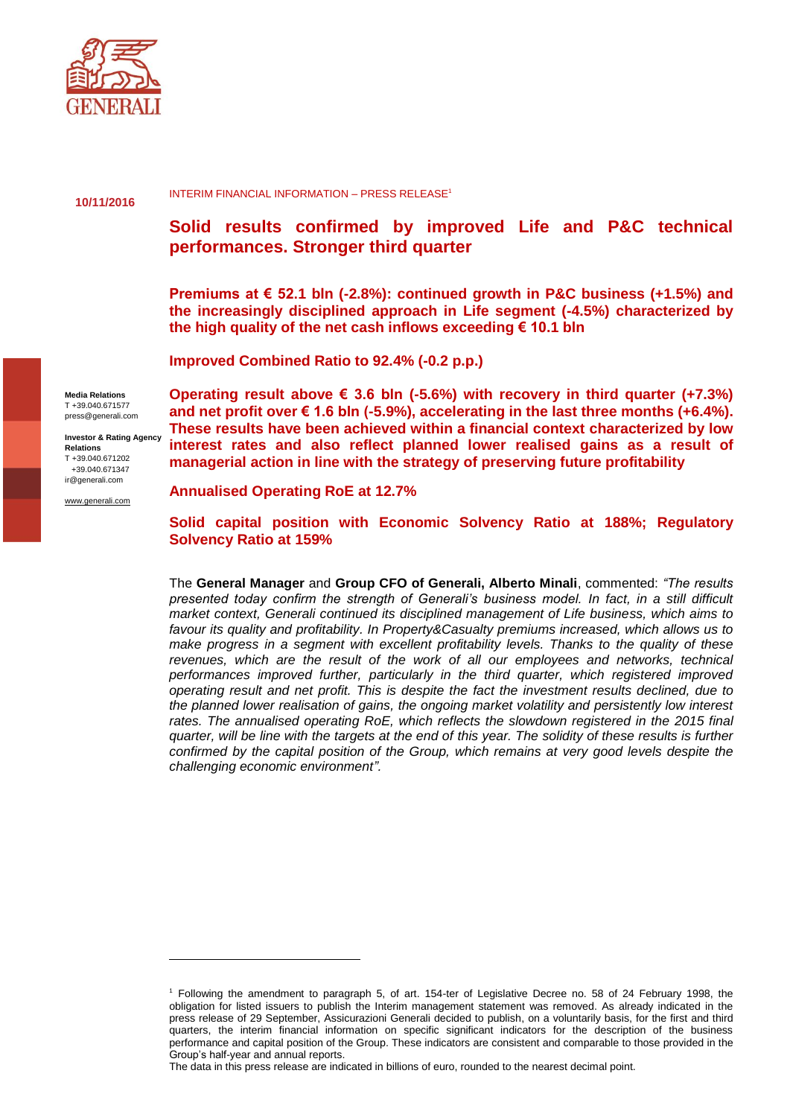

**10/11/2016**

INTERIM FINANCIAL INFORMATION – PRESS RELEASE<sup>1</sup>

# **Solid results confirmed by improved Life and P&C technical performances. Stronger third quarter**

**Premiums at € 52.1 bln (-2.8%): continued growth in P&C business (+1.5%) and the increasingly disciplined approach in Life segment (-4.5%) characterized by the high quality of the net cash inflows exceeding € 10.1 bln**

**Improved Combined Ratio to 92.4% (-0.2 p.p.)**

**Media Relations** T +39.040.671577 press@generali.com

**Investor & Rating Agency Relations** T +39.040.671202 +39.040.671347 ir@generali.com

 $\overline{a}$ 

[www.generali.com](http://www.generali.com/)

**Operating result above € 3.6 bln (-5.6%) with recovery in third quarter (+7.3%) and net profit over € 1.6 bln (-5.9%), accelerating in the last three months (+6.4%). These results have been achieved within a financial context characterized by low interest rates and also reflect planned lower realised gains as a result of managerial action in line with the strategy of preserving future profitability**

**Annualised Operating RoE at 12.7%**

**Solid capital position with Economic Solvency Ratio at 188%; Regulatory Solvency Ratio at 159%**

The **General Manager** and **Group CFO of Generali, Alberto Minali**, commented: *"The results presented today confirm the strength of Generali's business model. In fact, in a still difficult market context, Generali continued its disciplined management of Life business, which aims to favour its quality and profitability. In Property&Casualty premiums increased, which allows us to make progress in a segment with excellent profitability levels. Thanks to the quality of these revenues, which are the result of the work of all our employees and networks, technical performances improved further, particularly in the third quarter, which registered improved operating result and net profit. This is despite the fact the investment results declined, due to the planned lower realisation of gains, the ongoing market volatility and persistently low interest*  rates. The annualised operating RoE, which reflects the slowdown registered in the 2015 final *quarter, will be line with the targets at the end of this year. The solidity of these results is further confirmed by the capital position of the Group, which remains at very good levels despite the challenging economic environment".* 

The data in this press release are indicated in billions of euro, rounded to the nearest decimal point.

<sup>1</sup> Following the amendment to paragraph 5, of art. 154-ter of Legislative Decree no. 58 of 24 February 1998, the obligation for listed issuers to publish the Interim management statement was removed. As already indicated in the press release of 29 September, Assicurazioni Generali decided to publish, on a voluntarily basis, for the first and third quarters, the interim financial information on specific significant indicators for the description of the business performance and capital position of the Group. These indicators are consistent and comparable to those provided in the Group's half-year and annual reports.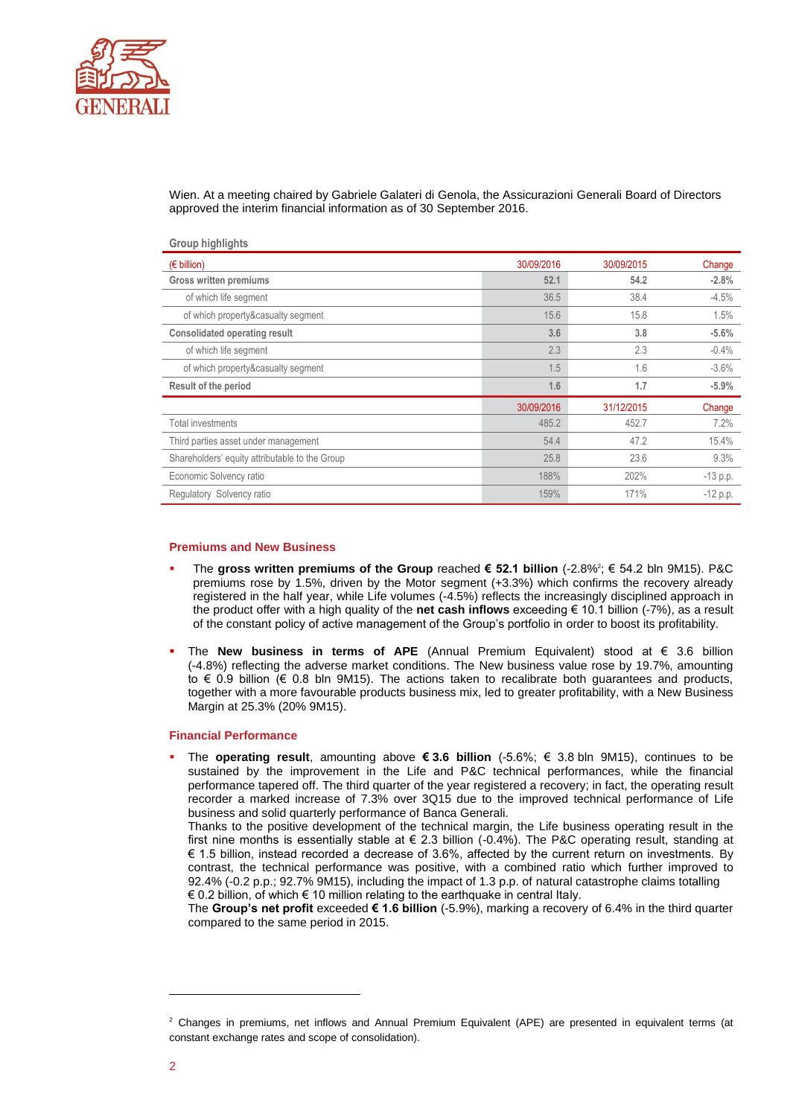

Wien. At a meeting chaired by Gabriele Galateri di Genola, the Assicurazioni Generali Board of Directors approved the interim financial information as of 30 September 2016.

| Group mynights                                 |            |            |            |
|------------------------------------------------|------------|------------|------------|
| $(\epsilon$ billion)                           | 30/09/2016 | 30/09/2015 | Change     |
| <b>Gross written premiums</b>                  | 52.1       | 54.2       | $-2.8%$    |
| of which life segment                          | 36.5       | 38.4       | $-4.5%$    |
| of which property&casualty segment             | 15.6       | 15.8       | 1.5%       |
| <b>Consolidated operating result</b>           | 3.6        | 3.8        | $-5.6%$    |
| of which life segment                          | 2.3        | 2.3        | $-0.4%$    |
| of which property&casualty segment             | 1.5        | 1.6        | $-3.6\%$   |
| Result of the period                           | 1.6        | 1.7        | $-5.9%$    |
|                                                | 30/09/2016 | 31/12/2015 | Change     |
| <b>Total investments</b>                       | 485.2      | 452.7      | 7.2%       |
| Third parties asset under management           | 54.4       | 47.2       | 15.4%      |
| Shareholders' equity attributable to the Group | 25.8       | 23.6       | 9.3%       |
| Economic Solvency ratio                        | 188%       | 202%       | $-13$ p.p. |
| Regulatory Solvency ratio                      | 159%       | 171%       | $-12 p.p.$ |

### **Premiums and New Business**

**Group highlights** 

- The **gross written premiums of the Group** reached **€ 52.1 billion** (-2.8%<sup>2</sup> ; € 54.2 bln 9M15). P&C premiums rose by 1.5%, driven by the Motor segment (+3.3%) which confirms the recovery already registered in the half year, while Life volumes (-4.5%) reflects the increasingly disciplined approach in the product offer with a high quality of the **net cash inflows** exceeding € 10.1 billion (-7%), as a result of the constant policy of active management of the Group's portfolio in order to boost its profitability.
- The **New business in terms of APE** (Annual Premium Equivalent) stood at € 3.6 billion (-4.8%) reflecting the adverse market conditions. The New business value rose by 19.7%, amounting to € 0.9 billion (€ 0.8 bln 9M15). The actions taken to recalibrate both guarantees and products, together with a more favourable products business mix, led to greater profitability, with a New Business Margin at 25.3% (20% 9M15).

### **Financial Performance**

 The **operating result**, amounting above **€ 3.6 billion** (-5.6%; € 3.8 bln 9M15), continues to be sustained by the improvement in the Life and P&C technical performances, while the financial performance tapered off. The third quarter of the year registered a recovery; in fact, the operating result recorder a marked increase of 7.3% over 3Q15 due to the improved technical performance of Life business and solid quarterly performance of Banca Generali.

Thanks to the positive development of the technical margin, the Life business operating result in the first nine months is essentially stable at € 2.3 billion (-0.4%). The P&C operating result, standing at € 1.5 billion, instead recorded a decrease of 3.6%, affected by the current return on investments. By contrast, the technical performance was positive, with a combined ratio which further improved to 92.4% (-0.2 p.p.; 92.7% 9M15), including the impact of 1.3 p.p. of natural catastrophe claims totalling € 0.2 billion, of which € 10 million relating to the earthquake in central Italy.

The **Group's net profit** exceeded **€ 1.6 billion** (-5.9%), marking a recovery of 6.4% in the third quarter compared to the same period in 2015.

-

<sup>&</sup>lt;sup>2</sup> Changes in premiums, net inflows and Annual Premium Equivalent (APE) are presented in equivalent terms (at constant exchange rates and scope of consolidation).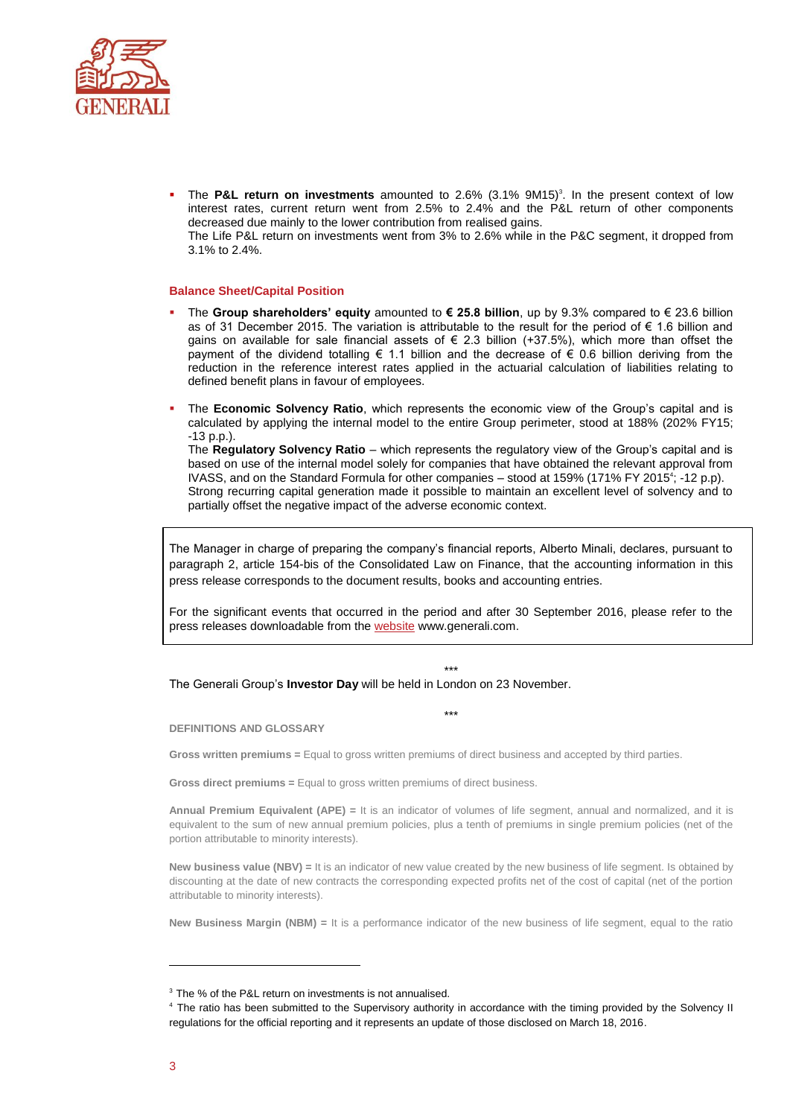

**The P&L return on investments** amounted to 2.6% (3.1% 9M15)<sup>3</sup>. In the present context of low interest rates, current return went from 2.5% to 2.4% and the P&L return of other components decreased due mainly to the lower contribution from realised gains. The Life P&L return on investments went from 3% to 2.6% while in the P&C segment, it dropped from 3.1% to 2.4%.

#### **Balance Sheet/Capital Position**

- The **Group shareholders' equity** amounted to **€ 25.8 billion**, up by 9.3% compared to € 23.6 billion as of 31 December 2015. The variation is attributable to the result for the period of € 1.6 billion and gains on available for sale financial assets of  $\epsilon$  2.3 billion (+37.5%), which more than offset the payment of the dividend totalling  $\epsilon$  1.1 billion and the decrease of  $\epsilon$  0.6 billion deriving from the reduction in the reference interest rates applied in the actuarial calculation of liabilities relating to defined benefit plans in favour of employees.
- The **Economic Solvency Ratio**, which represents the economic view of the Group's capital and is calculated by applying the internal model to the entire Group perimeter, stood at 188% (202% FY15;  $-13$  p.p.).

The **Regulatory Solvency Ratio** – which represents the regulatory view of the Group's capital and is based on use of the internal model solely for companies that have obtained the relevant approval from IVASS, and on the Standard Formula for other companies - stood at 159% (171% FY 2015<sup>4</sup>; -12 p.p). Strong recurring capital generation made it possible to maintain an excellent level of solvency and to partially offset the negative impact of the adverse economic context.

The Manager in charge of preparing the company's financial reports, Alberto Minali, declares, pursuant to paragraph 2, article 154-bis of the Consolidated Law on Finance, that the accounting information in this press release corresponds to the document results, books and accounting entries.

For the significant events that occurred in the period and after 30 September 2016, please refer to the press releases downloadable from the [website](http://www.generali.com/media/press-releases/all.html) www.generali.com.

## \*\*\*

The Generali Group's **Investor Day** will be held in London on 23 November.

\*\*\*

**DEFINITIONS AND GLOSSARY**

**Gross written premiums =** Equal to gross written premiums of direct business and accepted by third parties.

**Gross direct premiums =** Equal to gross written premiums of direct business.

**Annual Premium Equivalent (APE) =** It is an indicator of volumes of life segment, annual and normalized, and it is equivalent to the sum of new annual premium policies, plus a tenth of premiums in single premium policies (net of the portion attributable to minority interests).

**New business value (NBV) =** It is an indicator of new value created by the new business of life segment. Is obtained by discounting at the date of new contracts the corresponding expected profits net of the cost of capital (net of the portion attributable to minority interests).

**New Business Margin (NBM) =** It is a performance indicator of the new business of life segment, equal to the ratio

 $\overline{a}$ 

<sup>&</sup>lt;sup>3</sup> The % of the P&L return on investments is not annualised.

<sup>&</sup>lt;sup>4</sup> The ratio has been submitted to the Supervisory authority in accordance with the timing provided by the Solvency II regulations for the official reporting and it represents an update of those disclosed on March 18, 2016.